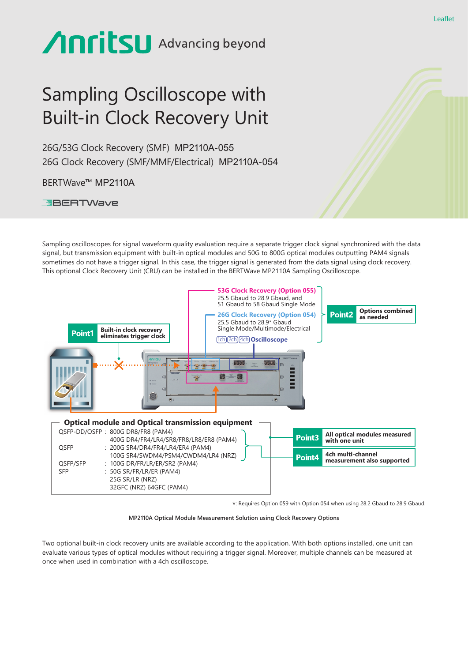# **Anritsu** Advancing beyond

## Sampling Oscilloscope with Built-in Clock Recovery Unit

26G/53G Clock Recovery (SMF) MP2110A-055 26G Clock Recovery (SMF/MMF/Electrical) MP2110A-054

BERTWave™ MP2110A

**EBERTWave** 

Sampling oscilloscopes for signal waveform quality evaluation require a separate trigger clock signal synchronized with the data signal, but transmission equipment with built-in optical modules and 50G to 800G optical modules outputting PAM4 signals sometimes do not have a trigger signal. In this case, the trigger signal is generated from the data signal using clock recovery. This optional Clock Recovery Unit (CRU) can be installed in the BERTWave MP2110A Sampling Oscilloscope.



\*: Requires Option 059 with Option 054 when using 28.2 Gbaud to 28.9 Gbaud.

#### **MP2110A Optical Module Measurement Solution using Clock Recovery Options**

Two optional built-in clock recovery units are available according to the application. With both options installed, one unit can evaluate various types of optical modules without requiring a trigger signal. Moreover, multiple channels can be measured at once when used in combination with a 4ch oscilloscope.